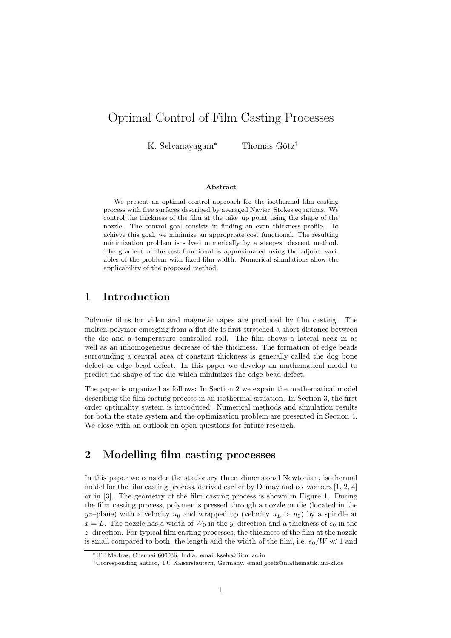# Optimal Control of Film Casting Processes

K. Selvanayagam<sup>∗</sup> Thomas Götz<sup>†</sup>

#### Abstract

We present an optimal control approach for the isothermal film casting process with free surfaces described by averaged Navier–Stokes equations. We control the thickness of the film at the take–up point using the shape of the nozzle. The control goal consists in finding an even thickness profile. To achieve this goal, we minimize an appropriate cost functional. The resulting minimization problem is solved numerically by a steepest descent method. The gradient of the cost functional is approximated using the adjoint variables of the problem with fixed film width. Numerical simulations show the applicability of the proposed method.

# 1 Introduction

Polymer films for video and magnetic tapes are produced by film casting. The molten polymer emerging from a flat die is first stretched a short distance between the die and a temperature controlled roll. The film shows a lateral neck–in as well as an inhomogeneous decrease of the thickness. The formation of edge beads surrounding a central area of constant thickness is generally called the dog bone defect or edge bead defect. In this paper we develop an mathematical model to predict the shape of the die which minimizes the edge bead defect.

The paper is organized as follows: In Section 2 we expain the mathematical model describing the film casting process in an isothermal situation. In Section 3, the first order optimality system is introduced. Numerical methods and simulation results for both the state system and the optimization problem are presented in Section 4. We close with an outlook on open questions for future research.

# 2 Modelling film casting processes

In this paper we consider the stationary three–dimensional Newtonian, isothermal model for the film casting process, derived earlier by Demay and co–workers [1, 2, 4] or in [3]. The geometry of the film casting process is shown in Figure 1. During the film casting process, polymer is pressed through a nozzle or die (located in the  $yz$ -plane) with a velocity  $u_0$  and wrapped up (velocity  $u_L > u_0$ ) by a spindle at  $x = L$ . The nozzle has a width of  $W_0$  in the y-direction and a thickness of  $e_0$  in the  $z$ -direction. For typical film casting processes, the thickness of the film at the nozzle is small compared to both, the length and the width of the film, i.e.  $e_0/W \ll 1$  and

<sup>∗</sup>IIT Madras, Chennai 600036, India. email:kselva@iitm.ac.in

<sup>†</sup>Corresponding author, TU Kaiserslautern, Germany. email:goetz@mathematik.uni-kl.de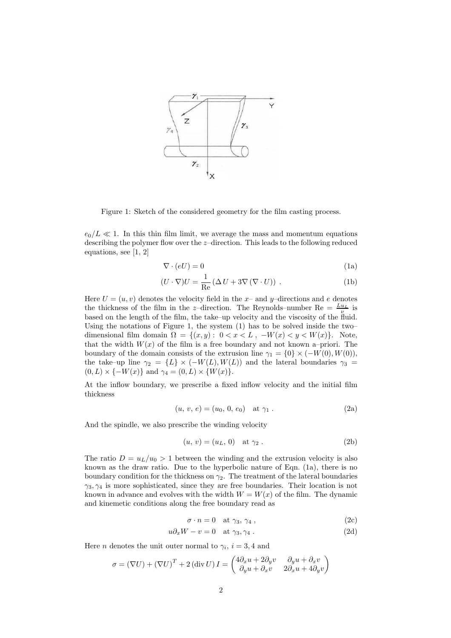

Figure 1: Sketch of the considered geometry for the film casting process.

 $e_0/L \ll 1$ . In this thin film limit, we average the mass and momentum equations describing the polymer flow over the z–direction. This leads to the following reduced equations, see [1, 2]

$$
\nabla \cdot (eU) = 0 \tag{1a}
$$

$$
(U \cdot \nabla)U = \frac{1}{\text{Re}} \left( \Delta U + 3\nabla (\nabla \cdot U) \right) . \tag{1b}
$$

Here  $U = (u, v)$  denotes the velocity field in the x- and y-directions and e denotes the thickness of the film in the z-direction. The Reynolds–number Re =  $\frac{L_{u_L}}{\nu}$  is based on the length of the film, the take–up velocity and the viscosity of the fluid. Using the notations of Figure 1, the system (1) has to be solved inside the two– dimensional film domain  $\Omega = \{(x, y): 0 < x < L, -W(x) < y < W(x)\}.$  Note, that the width  $W(x)$  of the film is a free boundary and not known a–priori. The boundary of the domain consists of the extrusion line  $\gamma_1 = \{0\} \times (-W(0), W(0)),$ the take–up line  $\gamma_2 = \{L\} \times (-W(L), W(L))$  and the lateral boundaries  $\gamma_3 =$  $(0, L) \times \{-W(x)\}\$ and  $\gamma_4 = (0, L) \times \{W(x)\}.$ 

At the inflow boundary, we prescribe a fixed inflow velocity and the initial film thickness

$$
(u, v, e) = (u_0, 0, e_0) \text{ at } \gamma_1. \tag{2a}
$$

And the spindle, we also prescribe the winding velocity

$$
(u, v) = (uL, 0)
$$
 at  $\gamma_2$ . (2b)

The ratio  $D = u_L/u_0 > 1$  between the winding and the extrusion velocity is also known as the draw ratio. Due to the hyperbolic nature of Eqn. (1a), there is no boundary condition for the thickness on  $\gamma_2$ . The treatment of the lateral boundaries  $\gamma_3, \gamma_4$  is more sophisticated, since they are free boundaries. Their location is not known in advance and evolves with the width  $W = W(x)$  of the film. The dynamic and kinemetic conditions along the free boundary read as

$$
\sigma \cdot n = 0 \quad \text{at } \gamma_3, \, \gamma_4 \,, \tag{2c}
$$

$$
u\partial_x W - v = 0 \quad \text{at } \gamma_3, \gamma_4 . \tag{2d}
$$

Here *n* denotes the unit outer normal to  $\gamma_i$ ,  $i = 3, 4$  and

$$
\sigma = (\nabla U) + (\nabla U)^{T} + 2 (\text{div } U) I = \begin{pmatrix} 4\partial_x u + 2\partial_y v & \partial_y u + \partial_x v \\ \partial_y u + \partial_x v & 2\partial_x u + 4\partial_y v \end{pmatrix}
$$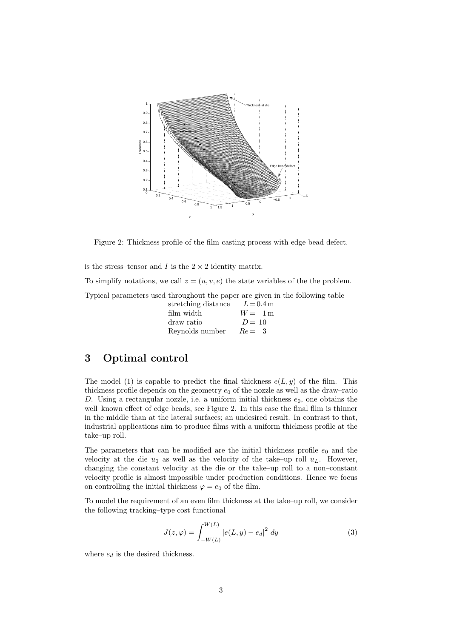

Figure 2: Thickness profile of the film casting process with edge bead defect.

is the stress–tensor and I is the  $2 \times 2$  identity matrix.

To simplify notations, we call  $z = (u, v, e)$  the state variables of the the problem.

Typical parameters used throughout the paper are given in the following table

| stretching distance | $L = 0.4 \,\mathrm{m}$ |
|---------------------|------------------------|
| film width          | $W = 1m$               |
| draw ratio          | $D = 10$               |
| Reynolds number     | $Re = 3$               |

### 3 Optimal control

The model (1) is capable to predict the final thickness  $e(L, y)$  of the film. This thickness profile depends on the geometry  $e_0$  of the nozzle as well as the draw–ratio D. Using a rectangular nozzle, i.e. a uniform initial thickness  $e_0$ , one obtains the well–known effect of edge beads, see Figure 2. In this case the final film is thinner in the middle than at the lateral surfaces; an undesired result. In contrast to that, industrial applications aim to produce films with a uniform thickness profile at the take–up roll.

The parameters that can be modified are the initial thickness profile  $e_0$  and the velocity at the die  $u_0$  as well as the velocity of the take–up roll  $u_L$ . However, changing the constant velocity at the die or the take–up roll to a non–constant velocity profile is almost impossible under production conditions. Hence we focus on controlling the initial thickness  $\varphi = e_0$  of the film.

To model the requirement of an even film thickness at the take–up roll, we consider the following tracking–type cost functional

$$
J(z, \varphi) = \int_{-W(L)}^{W(L)} |e(L, y) - e_d|^2 dy
$$
 (3)

where  $e_d$  is the desired thickness.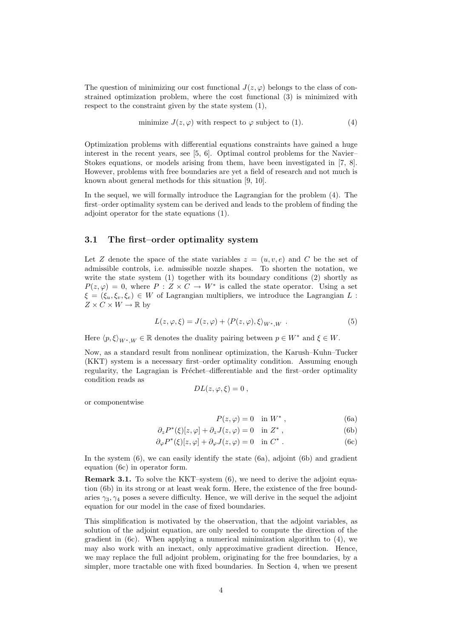The question of minimizing our cost functional  $J(z, \varphi)$  belongs to the class of constrained optimization problem, where the cost functional (3) is minimized with respect to the constraint given by the state system  $(1)$ ,

minimize 
$$
J(z, \varphi)
$$
 with respect to  $\varphi$  subject to (1). (4)

Optimization problems with differential equations constraints have gained a huge interest in the recent years, see [5, 6]. Optimal control problems for the Navier– Stokes equations, or models arising from them, have been investigated in [7, 8]. However, problems with free boundaries are yet a field of research and not much is known about general methods for this situation [9, 10].

In the sequel, we will formally introduce the Lagrangian for the problem (4). The first–order optimality system can be derived and leads to the problem of finding the adjoint operator for the state equations (1).

#### 3.1 The first–order optimality system

Let Z denote the space of the state variables  $z = (u, v, e)$  and C be the set of admissible controls, i.e. admissible nozzle shapes. To shorten the notation, we write the state system  $(1)$  together with its boundary conditions  $(2)$  shortly as  $P(z,\varphi) = 0$ , where  $P: Z \times \overline{C} \to W^*$  is called the state operator. Using a set  $\xi = (\xi_u, \xi_v, \xi_e) \in W$  of Lagrangian multipliers, we introduce the Lagrangian L:  $Z \times C \times W \to \mathbb{R}$  by

$$
L(z, \varphi, \xi) = J(z, \varphi) + \langle P(z, \varphi), \xi \rangle_{W^*, W} . \tag{5}
$$

Here  $\langle p, \xi \rangle_{W^*,W} \in \mathbb{R}$  denotes the duality pairing between  $p \in W^*$  and  $\xi \in W$ .

Now, as a standard result from nonlinear optimization, the Karush–Kuhn–Tucker (KKT) system is a necessary first–order optimality condition. Assuming enough regularity, the Lagragian is Fréchet–differentiable and the first–order optimality condition reads as

$$
DL(z,\varphi,\xi)=0\ ,
$$

or componentwise

$$
P(z, \varphi) = 0 \quad \text{in } W^*, \tag{6a}
$$

$$
\partial_z P^*(\xi)[z,\varphi] + \partial_z J(z,\varphi) = 0 \quad \text{in } Z^*,
$$
 (6b)

 $\partial_{\varphi} P^*(\xi)[z,\varphi] + \partial_{\varphi} J(z,\varphi) = 0 \text{ in } C^*$ . (6c)

In the system  $(6)$ , we can easily identify the state  $(6a)$ , adjoint  $(6b)$  and gradient equation (6c) in operator form.

Remark 3.1. To solve the KKT–system (6), we need to derive the adjoint equation (6b) in its strong or at least weak form. Here, the existence of the free boundaries  $\gamma_3$ ,  $\gamma_4$  poses a severe difficulty. Hence, we will derive in the sequel the adjoint equation for our model in the case of fixed boundaries.

This simplification is motivated by the observation, that the adjoint variables, as solution of the adjoint equation, are only needed to compute the direction of the gradient in  $(6c)$ . When applying a numerical minimization algorithm to  $(4)$ , we may also work with an inexact, only approximative gradient direction. Hence, we may replace the full adjoint problem, originating for the free boundaries, by a simpler, more tractable one with fixed boundaries. In Section 4, when we present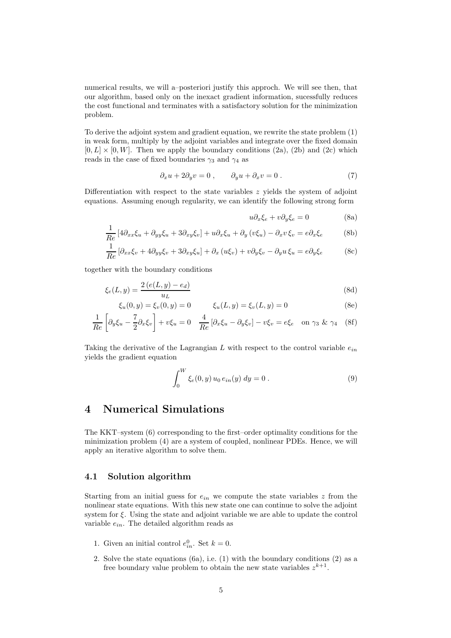numerical results, we will a–posteriori justify this approch. We will see then, that our algorithm, based only on the inexact gradient information, sucessfully reduces the cost functional and terminates with a satisfactory solution for the minimization problem.

To derive the adjoint system and gradient equation, we rewrite the state problem (1) in weak form, multiply by the adjoint variables and integrate over the fixed domain  $[0, L] \times [0, W]$ . Then we apply the boundary conditions (2a), (2b) and (2c) which reads in the case of fixed boundaries  $\gamma_3$  and  $\gamma_4$  as

$$
\partial_x u + 2\partial_y v = 0 , \qquad \partial_y u + \partial_x v = 0 . \tag{7}
$$

Differentiation with respect to the state variables  $z$  yields the system of adjoint equations. Assuming enough regularity, we can identify the following strong form

$$
u\partial_x \xi_e + v\partial_y \xi_e = 0 \tag{8a}
$$

$$
\frac{1}{Re} \left[ 4 \partial_{xx} \xi_u + \partial_{yy} \xi_u + 3 \partial_{xy} \xi_v \right] + u \partial_x \xi_u + \partial_y \left( v \xi_u \right) - \partial_x v \, \xi_v = e \partial_x \xi_e \tag{8b}
$$

$$
\frac{1}{Re} \left[ \partial_{xx} \xi_v + 4 \partial_{yy} \xi_v + 3 \partial_{xy} \xi_u \right] + \partial_x \left( u \xi_v \right) + v \partial_y \xi_v - \partial_y u \xi_u = e \partial_y \xi_e \tag{8c}
$$

together with the boundary conditions

$$
\xi_e(L, y) = \frac{2(e(L, y) - e_d)}{u_L} \tag{8d}
$$

$$
\xi_u(0, y) = \xi_v(0, y) = 0 \qquad \xi_u(L, y) = \xi_v(L, y) = 0 \tag{8e}
$$

$$
\frac{1}{Re} \left[ \partial_y \xi_u - \frac{7}{2} \partial_x \xi_v \right] + v \xi_u = 0 \quad \frac{4}{Re} \left[ \partial_x \xi_u - \partial_y \xi_v \right] - v \xi_v = e \xi_e \quad \text{on } \gamma_3 \ \& \ \gamma_4 \tag{8f}
$$

Taking the derivative of the Lagrangian L with respect to the control variable  $e_{in}$ yields the gradient equation

$$
\int_0^W \xi_e(0, y) u_0 e_{in}(y) dy = 0.
$$
 (9)

# 4 Numerical Simulations

The KKT–system (6) corresponding to the first–order optimality conditions for the minimization problem (4) are a system of coupled, nonlinear PDEs. Hence, we will apply an iterative algorithm to solve them.

### 4.1 Solution algorithm

Starting from an initial guess for  $e_{in}$  we compute the state variables z from the nonlinear state equations. With this new state one can continue to solve the adjoint system for  $\xi$ . Using the state and adjoint variable we are able to update the control variable  $e_{in}$ . The detailed algorithm reads as

- 1. Given an initial control  $e_{in}^0$ . Set  $k = 0$ .
- 2. Solve the state equations (6a), i.e. (1) with the boundary conditions (2) as a free boundary value problem to obtain the new state variables  $z^{k+1}$ .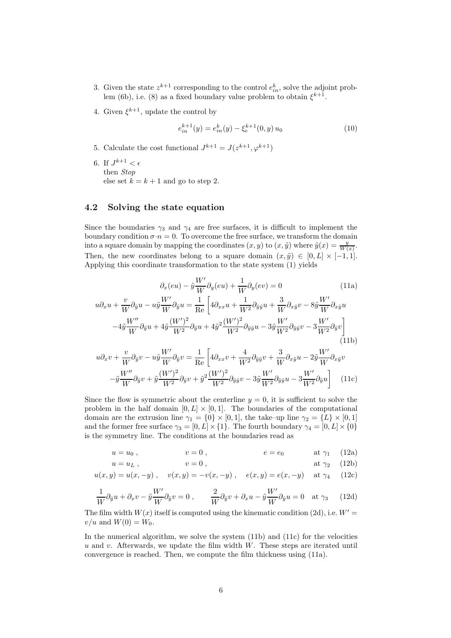- 3. Given the state  $z^{k+1}$  corresponding to the control  $e_{in}^k$ , solve the adjoint problem (6b), i.e. (8) as a fixed boundary value problem to obtain  $\xi^{k+1}$ .
- 4. Given  $\xi^{k+1}$ , update the control by

$$
e_{in}^{k+1}(y) = e_{in}^k(y) - \xi_e^{k+1}(0, y) u_0
$$
\n(10)

- 5. Calculate the cost functional  $J^{k+1} = J(z^{k+1}, \varphi^{k+1})$
- 6. If  $J^{k+1} < \epsilon$ then Stop else set  $k = k + 1$  and go to step 2.

### 4.2 Solving the state equation

Since the boundaries  $\gamma_3$  and  $\gamma_4$  are free surfaces, it is difficult to implement the boundary condition  $\sigma \cdot n = 0$ . To overcome the free surface, we transform the domain into a square domain by mapping the coordinates  $(x, y)$  to  $(x, \tilde{y})$  where  $\tilde{y}(x) = \frac{y}{W(x)}$ . Then, the new coordinates belong to a square domain  $(x, \tilde{y}) \in [0, L] \times [-1, 1].$ Applying this coordinate transformation to the state system (1) yields

$$
\partial_x (eu) - \tilde{y} \frac{W'}{W} \partial_y (eu) + \frac{1}{W} \partial_y (ev) = 0 \tag{11a}
$$
  

$$
u \partial_x u + \frac{v}{W} \partial_{\tilde{y}} u - u \tilde{y} \frac{W'}{W} \partial_{\tilde{y}} u = \frac{1}{\text{Re}} \left[ 4 \partial_{xx} u + \frac{1}{W^2} \partial_{\tilde{y}\tilde{y}} u + \frac{3}{W} \partial_{x\tilde{y}} v - 8 \tilde{y} \frac{W'}{W} \partial_{x\tilde{y}} u - 4 \tilde{y} \frac{W''}{W} \partial_{\tilde{y}} u + 4 \tilde{y} \frac{(W')^2}{W^2} \partial_{\tilde{y}} u + 4 \tilde{y}^2 \frac{(W')^2}{W^2} \partial_{\tilde{y}\tilde{y}} u - 3 \tilde{y} \frac{W'}{W^2} \partial_{\tilde{y}\tilde{y}} v - 3 \frac{W'}{W^2} \partial_{\tilde{y}} v \right]
$$
  
(11b)

$$
u\partial_x v + \frac{v}{W}\partial_{\tilde{y}}v - u\tilde{y}\frac{W'}{W}\partial_{\tilde{y}}v = \frac{1}{\text{Re}}\left[4\partial_{xx}v + \frac{4}{W^2}\partial_{\tilde{y}\tilde{y}}v + \frac{3}{W}\partial_{x\tilde{y}}u - 2\tilde{y}\frac{W'}{W}\partial_{x\tilde{y}}v - \tilde{y}\frac{W''}{W}\partial_{\tilde{y}}v + \tilde{y}\frac{(W')^2}{W^2}\partial_{\tilde{y}}v + \tilde{y}\frac{(W')^2}{W^2}\partial_{\tilde{y}\tilde{y}}v - 3\tilde{y}\frac{W'}{W^2}\partial_{\tilde{y}\tilde{y}}u - 3\frac{W'}{W^2}\partial_{\tilde{y}}u\right]
$$
(11c)

Since the flow is symmetric about the centerline  $y = 0$ , it is sufficient to solve the problem in the half domain  $[0, L] \times [0, 1]$ . The boundaries of the computational domain are the extrusion line  $\gamma_1 = \{0\} \times [0,1]$ , the take–up line  $\gamma_2 = \{L\} \times [0,1]$ and the former free surface  $\gamma_3 = [0, L] \times \{1\}$ . The fourth boundary  $\gamma_4 = [0, L] \times \{0\}$ is the symmetry line. The conditions at the boundaries read as

$$
u = u_0 , \qquad \qquad v = 0 , \qquad \qquad e = e_0 \qquad \qquad \text{at } \gamma_1 \quad (12a)
$$

$$
u = uL , \t\t v = 0 , \t\t at  $\gamma_2$  (12b)
$$

$$
u(x, y) = u(x, -y)
$$
,  $v(x, y) = -v(x, -y)$ ,  $e(x, y) = e(x, -y)$  at  $\gamma_4$  (12c)

$$
\frac{1}{W}\partial_{\tilde{y}}u + \partial_x v - \tilde{y}\frac{W'}{W}\partial_{\tilde{y}}v = 0 , \qquad \frac{2}{W}\partial_{\tilde{y}}v + \partial_x u - \tilde{y}\frac{W'}{W}\partial_{\tilde{y}}u = 0 \quad \text{at } \gamma_3 \tag{12d}
$$

The film width  $W(x)$  itself is computed using the kinematic condition (2d), i.e.  $W' =$  $v/u$  and  $W(0) = W_0$ .

In the numerical algorithm, we solve the system (11b) and (11c) for the velocities  $u$  and  $v$ . Afterwards, we update the film width  $W$ . These steps are iterated until convergence is reached. Then, we compute the film thickness using (11a).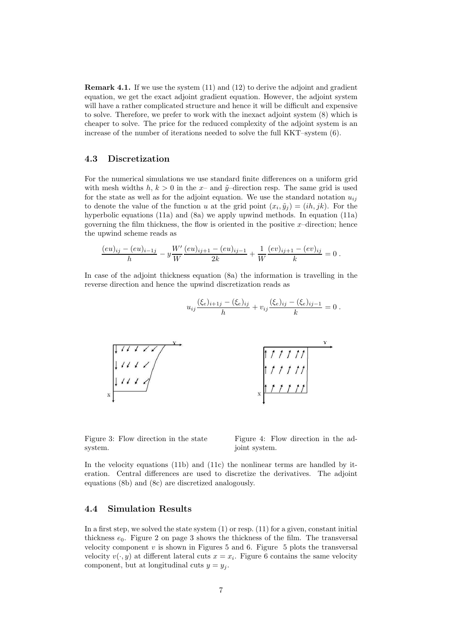Remark 4.1. If we use the system (11) and (12) to derive the adjoint and gradient equation, we get the exact adjoint gradient equation. However, the adjoint system will have a rather complicated structure and hence it will be difficult and expensive to solve. Therefore, we prefer to work with the inexact adjoint system (8) which is cheaper to solve. The price for the reduced complexity of the adjoint system is an increase of the number of iterations needed to solve the full KKT–system (6).

#### 4.3 Discretization

For the numerical simulations we use standard finite differences on a uniform grid with mesh widths h,  $k > 0$  in the x- and  $\tilde{y}$ -direction resp. The same grid is used for the state as well as for the adjoint equation. We use the standard notation  $u_{ij}$ to denote the value of the function u at the grid point  $(x_i, \tilde{y}_j) = (ih, jk)$ . For the hyperbolic equations (11a) and (8a) we apply upwind methods. In equation (11a) governing the film thickness, the flow is oriented in the positive  $x$ -direction; hence the upwind scheme reads as

$$
\frac{(eu)_{ij} - (eu)_{i-1j}}{h} - y\frac{W'}{W}\frac{(eu)_{ij+1} - (eu)_{ij-1}}{2k} + \frac{1}{W}\frac{(ev)_{ij+1} - (ev)_{ij}}{k} = 0.
$$

In case of the adjoint thickness equation (8a) the information is travelling in the reverse direction and hence the upwind discretization reads as



Figure 3: Flow direction in the state system.

Figure 4: Flow direction in the adjoint system.

In the velocity equations (11b) and (11c) the nonlinear terms are handled by iteration. Central differences are used to discretize the derivatives. The adjoint equations (8b) and (8c) are discretized analogously.

### 4.4 Simulation Results

In a first step, we solved the state system  $(1)$  or resp.  $(11)$  for a given, constant initial thickness  $e_0$ . Figure 2 on page 3 shows the thickness of the film. The transversal velocity component  $v$  is shown in Figures 5 and 6. Figure 5 plots the transversal velocity  $v(\cdot, y)$  at different lateral cuts  $x = x_i$ . Figure 6 contains the same velocity component, but at longitudinal cuts  $y = y_i$ .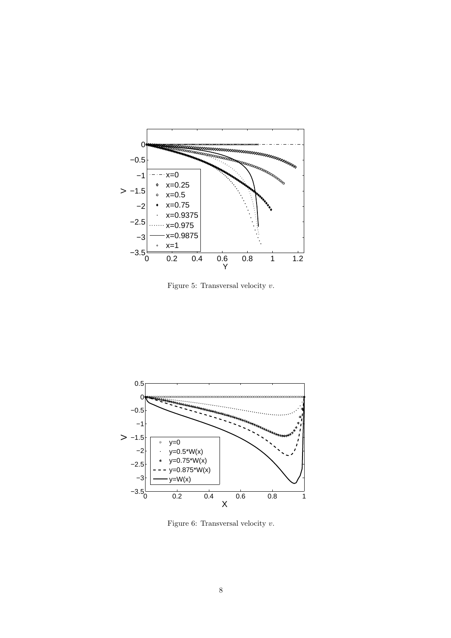

Figure 5: Transversal velocity  $v$ .



Figure 6: Transversal velocity  $v.$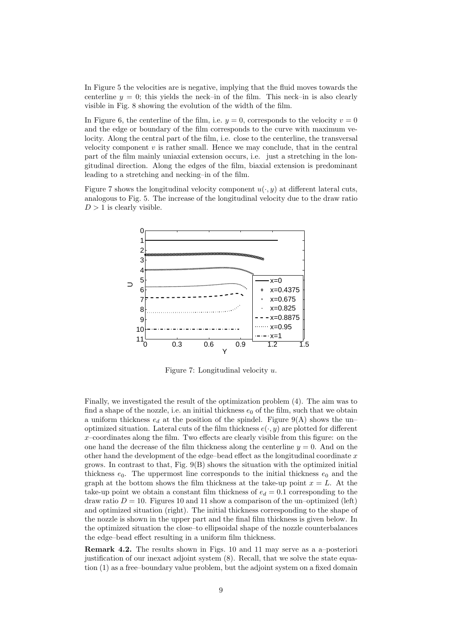In Figure 5 the velocities are is negative, implying that the fluid moves towards the centerline  $y = 0$ ; this yields the neck–in of the film. This neck–in is also clearly visible in Fig. 8 showing the evolution of the width of the film.

In Figure 6, the centerline of the film, i.e.  $y = 0$ , corresponds to the velocity  $v = 0$ and the edge or boundary of the film corresponds to the curve with maximum velocity. Along the central part of the film, i.e. close to the centerline, the transversal velocity component  $v$  is rather small. Hence we may conclude, that in the central part of the film mainly uniaxial extension occurs, i.e. just a stretching in the longitudinal direction. Along the edges of the film, biaxial extension is predominant leading to a stretching and necking–in of the film.

Figure 7 shows the longitudinal velocity component  $u(\cdot, y)$  at different lateral cuts, analogous to Fig. 5. The increase of the longitudinal velocity due to the draw ratio  $D > 1$  is clearly visible.



Figure 7: Longitudinal velocity u.

Finally, we investigated the result of the optimization problem (4). The aim was to find a shape of the nozzle, i.e. an initial thickness  $e_0$  of the film, such that we obtain a uniform thickness  $e_d$  at the position of the spindel. Figure 9(A) shows the unoptimized situation. Lateral cuts of the film thickness  $e(\cdot, y)$  are plotted for different  $x$ –coordinates along the film. Two effects are clearly visible from this figure: on the one hand the decrease of the film thickness along the centerline  $y = 0$ . And on the other hand the development of the edge–bead effect as the longitudinal coordinate  $x$ grows. In contrast to that, Fig. 9(B) shows the situation with the optimized initial thickness  $e_0$ . The uppermost line corresponds to the initial thickness  $e_0$  and the graph at the bottom shows the film thickness at the take-up point  $x = L$ . At the take-up point we obtain a constant film thickness of  $e_d = 0.1$  corresponding to the draw ratio  $D = 10$ . Figures 10 and 11 show a comparison of the un–optimized (left) and optimized situation (right). The initial thickness corresponding to the shape of the nozzle is shown in the upper part and the final film thickness is given below. In the optimized situation the close–to ellipsoidal shape of the nozzle counterbalances the edge–bead effect resulting in a uniform film thickness.

Remark 4.2. The results shown in Figs. 10 and 11 may serve as a a–posteriori justification of our inexact adjoint system (8). Recall, that we solve the state equation (1) as a free–boundary value problem, but the adjoint system on a fixed domain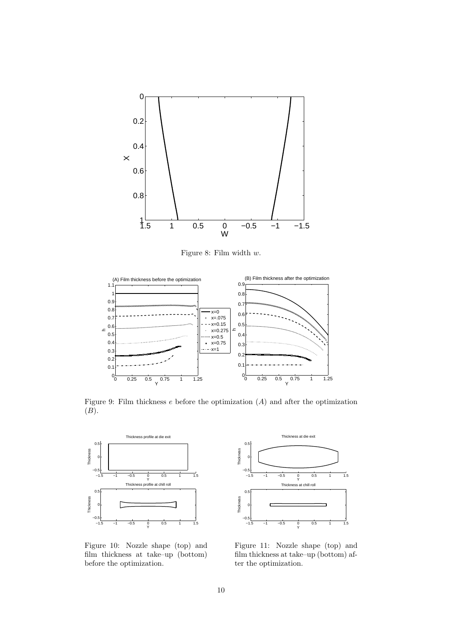

Figure 8: Film width w.



Figure 9: Film thickness  $e$  before the optimization  $(A)$  and after the optimization  $(B).$ 



Figure 10: Nozzle shape (top) and film thickness at take–up (bottom) before the optimization.



Figure 11: Nozzle shape (top) and film thickness at take–up (bottom) after the optimization.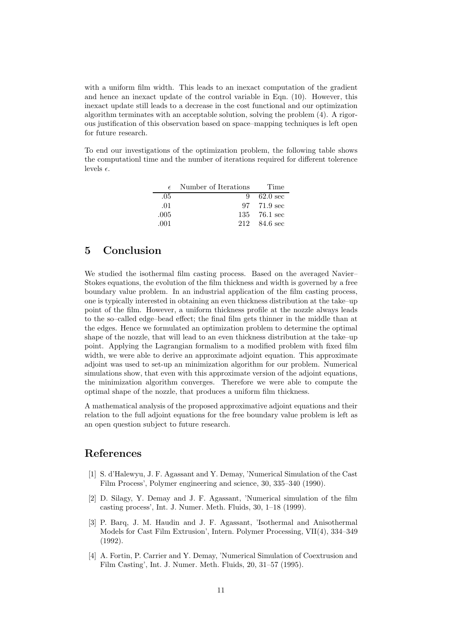with a uniform film width. This leads to an inexact computation of the gradient and hence an inexact update of the control variable in Eqn. (10). However, this inexact update still leads to a decrease in the cost functional and our optimization algorithm terminates with an acceptable solution, solving the problem (4). A rigorous justification of this observation based on space–mapping techniques is left open for future research.

To end our investigations of the optimization problem, the following table shows the computationl time and the number of iterations required for different tolerence levels  $\epsilon$ .

| $\epsilon$ | Number of Iterations | Time         |
|------------|----------------------|--------------|
| .05        | Q                    | $62.0$ sec   |
| .01        |                      | 97 71.9 sec  |
| .005       |                      | 135 76.1 sec |
| .001       | 212                  | $84.6$ sec   |

# 5 Conclusion

We studied the isothermal film casting process. Based on the averaged Navier– Stokes equations, the evolution of the film thickness and width is governed by a free boundary value problem. In an industrial application of the film casting process, one is typically interested in obtaining an even thickness distribution at the take–up point of the film. However, a uniform thickness profile at the nozzle always leads to the so–called edge–bead effect; the final film gets thinner in the middle than at the edges. Hence we formulated an optimization problem to determine the optimal shape of the nozzle, that will lead to an even thickness distribution at the take–up point. Applying the Lagrangian formalism to a modified problem with fixed film width, we were able to derive an approximate adjoint equation. This approximate adjoint was used to set-up an minimization algorithm for our problem. Numerical simulations show, that even with this approximate version of the adjoint equations, the minimization algorithm converges. Therefore we were able to compute the optimal shape of the nozzle, that produces a uniform film thickness.

A mathematical analysis of the proposed approximative adjoint equations and their relation to the full adjoint equations for the free boundary value problem is left as an open question subject to future research.

### References

- [1] S. d'Halewyu, J. F. Agassant and Y. Demay, 'Numerical Simulation of the Cast Film Process', Polymer engineering and science, 30, 335–340 (1990).
- [2] D. Silagy, Y. Demay and J. F. Agassant, 'Numerical simulation of the film casting process', Int. J. Numer. Meth. Fluids, 30, 1–18 (1999).
- [3] P. Barq, J. M. Haudin and J. F. Agassant, 'Isothermal and Anisothermal Models for Cast Film Extrusion', Intern. Polymer Processing, VII(4), 334–349 (1992).
- [4] A. Fortin, P. Carrier and Y. Demay, 'Numerical Simulation of Coextrusion and Film Casting', Int. J. Numer. Meth. Fluids, 20, 31–57 (1995).